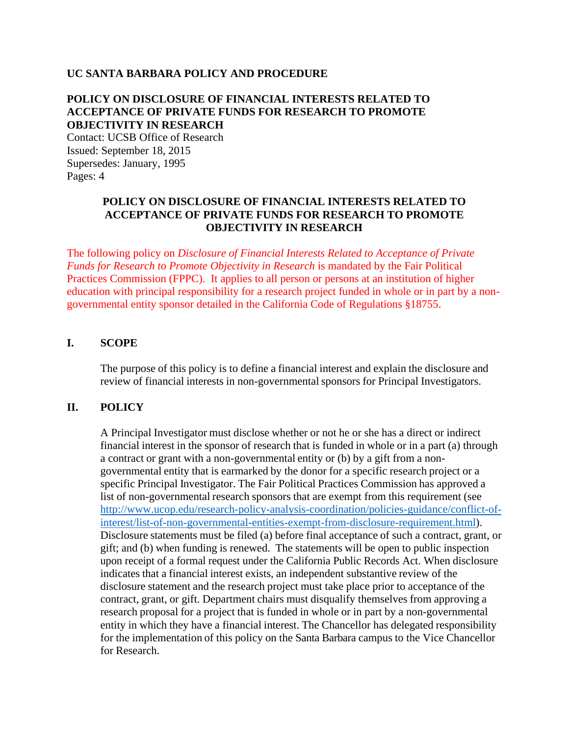#### **UC SANTA BARBARA POLICY AND PROCEDURE**

# **POLICY ON DISCLOSURE OF FINANCIAL INTERESTS RELATED TO ACCEPTANCE OF PRIVATE FUNDS FOR RESEARCH TO PROMOTE OBJECTIVITY IN RESEARCH**

Contact: UCSB Office of Research Issued: September 18, 2015 Supersedes: January, 1995 Pages: 4

### **POLICY ON DISCLOSURE OF FINANCIAL INTERESTS RELATED TO ACCEPTANCE OF PRIVATE FUNDS FOR RESEARCH TO PROMOTE OBJECTIVITY IN RESEARCH**

The following policy on *Disclosure of Financial Interests Related to Acceptance of Private Funds for Research to Promote Objectivity in Research* is mandated by the Fair Political Practices Commission (FPPC).It applies to all person or persons at an institution of higher education with principal responsibility for a research project funded in whole or in part by a nongovernmental entity sponsor detailed in the California Code of Regulations §18755.

#### **I. SCOPE**

The purpose of this policy is to define a financial interest and explain the disclosure and review of financial interests in non-governmental sponsors for Principal Investigators.

#### **II. POLICY**

A Principal Investigator must disclose whether or not he or she has a direct or indirect financial interest in the sponsor of research that is funded in whole or in a part (a) through a contract or grant with a non-governmental entity or (b) by a gift from a nongovernmental entity that is earmarked by the donor for a specific research project or a specific Principal Investigator. The Fair Political Practices Commission has approved a list of non-governmental research sponsors that are exempt from this requirement (see [http://www.ucop.edu/research-policy-analysis-coordination/policies-guidance/conflict-of](http://www.ucop.edu/research-policy-analysis-coordination/policies-guidance/conflict-of-interest/list-of-non-governmental-entities-exempt-from-disclosure-requirement.html)[interest/list-of-non-governmental-entities-exempt-from-disclosure-requirement.html\)](http://www.ucop.edu/research-policy-analysis-coordination/policies-guidance/conflict-of-interest/list-of-non-governmental-entities-exempt-from-disclosure-requirement.html). Disclosure statements must be filed (a) before final acceptance of such a contract, grant, or gift; and (b) when funding is renewed. The statements will be open to public inspection upon receipt of a formal request under the California Public Records Act. When disclosure indicates that a financial interest exists, an independent substantive review of the disclosure statement and the research project must take place prior to acceptance of the contract, grant, or gift. Department chairs must disqualify themselves from approving a research proposal for a project that is funded in whole or in part by a non-governmental entity in which they have a financial interest. The Chancellor has delegated responsibility for the implementation of this policy on the Santa Barbara campus to the Vice Chancellor for Research.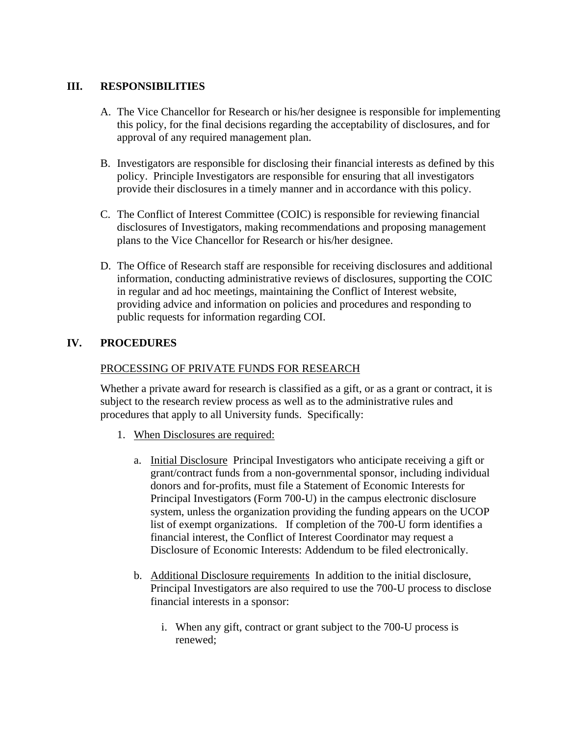### **III. RESPONSIBILITIES**

- A. The Vice Chancellor for Research or his/her designee is responsible for implementing this policy, for the final decisions regarding the acceptability of disclosures, and for approval of any required management plan.
- B. Investigators are responsible for disclosing their financial interests as defined by this policy. Principle Investigators are responsible for ensuring that all investigators provide their disclosures in a timely manner and in accordance with this policy.
- C. The Conflict of Interest Committee (COIC) is responsible for reviewing financial disclosures of Investigators, making recommendations and proposing management plans to the Vice Chancellor for Research or his/her designee.
- D. The Office of Research staff are responsible for receiving disclosures and additional information, conducting administrative reviews of disclosures, supporting the COIC in regular and ad hoc meetings, maintaining the Conflict of Interest website, providing advice and information on policies and procedures and responding to public requests for information regarding COI.

# **IV. PROCEDURES**

### PROCESSING OF PRIVATE FUNDS FOR RESEARCH

Whether a private award for research is classified as a gift, or as a grant or contract, it is subject to the research review process as well as to the administrative rules and procedures that apply to all University funds. Specifically:

- 1. When Disclosures are required:
	- a. Initial Disclosure Principal Investigators who anticipate receiving a gift or grant/contract funds from a non-governmental sponsor, including individual donors and for-profits, must file a Statement of Economic Interests for Principal Investigators (Form 700-U) in the campus electronic disclosure system, unless the organization providing the funding appears on the UCOP list of exempt organizations. If completion of the 700-U form identifies a financial interest, the Conflict of Interest Coordinator may request a Disclosure of Economic Interests: Addendum to be filed electronically.
	- b. Additional Disclosure requirements In addition to the initial disclosure, Principal Investigators are also required to use the 700-U process to disclose financial interests in a sponsor:
		- i. When any gift, contract or grant subject to the 700-U process is renewed;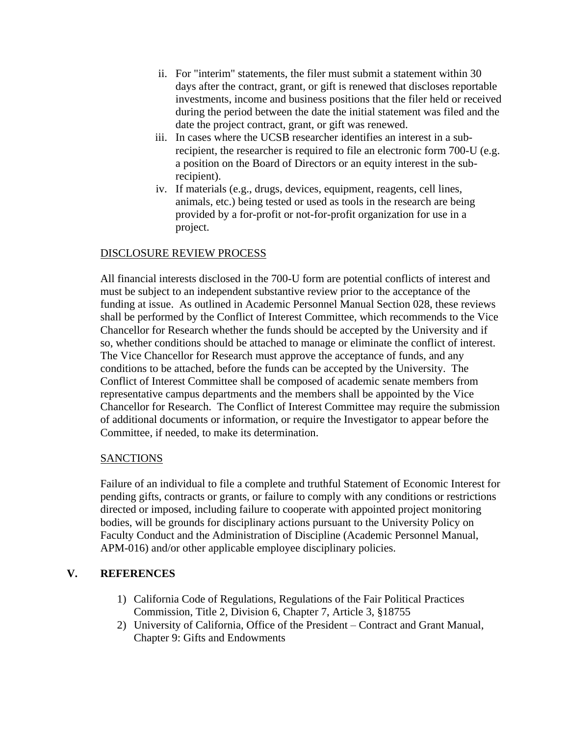- ii. For "interim" statements, the filer must submit a statement within 30 days after the contract, grant, or gift is renewed that discloses reportable investments, income and business positions that the filer held or received during the period between the date the initial statement was filed and the date the project contract, grant, or gift was renewed.
- iii. In cases where the UCSB researcher identifies an interest in a subrecipient, the researcher is required to file an electronic form 700-U (e.g. a position on the Board of Directors or an equity interest in the subrecipient).
- iv. If materials (e.g., drugs, devices, equipment, reagents, cell lines, animals, etc.) being tested or used as tools in the research are being provided by a for-profit or not-for-profit organization for use in a project.

# DISCLOSURE REVIEW PROCESS

All financial interests disclosed in the 700-U form are potential conflicts of interest and must be subject to an independent substantive review prior to the acceptance of the funding at issue. As outlined in Academic Personnel Manual Section 028, these reviews shall be performed by the Conflict of Interest Committee, which recommends to the Vice Chancellor for Research whether the funds should be accepted by the University and if so, whether conditions should be attached to manage or eliminate the conflict of interest. The Vice Chancellor for Research must approve the acceptance of funds, and any conditions to be attached, before the funds can be accepted by the University. The Conflict of Interest Committee shall be composed of academic senate members from representative campus departments and the members shall be appointed by the Vice Chancellor for Research. The Conflict of Interest Committee may require the submission of additional documents or information, or require the Investigator to appear before the Committee, if needed, to make its determination.

# SANCTIONS

Failure of an individual to file a complete and truthful Statement of Economic Interest for pending gifts, contracts or grants, or failure to comply with any conditions or restrictions directed or imposed, including failure to cooperate with appointed project monitoring bodies, will be grounds for disciplinary actions pursuant to the University Policy on Faculty Conduct and the Administration of Discipline (Academic Personnel Manual, APM-016) and/or other applicable employee disciplinary policies.

# **V. REFERENCES**

- 1) California Code of Regulations, Regulations of the Fair Political Practices Commission, Title 2, Division 6, Chapter 7, Article 3, §18755
- 2) University of California, Office of the President Contract and Grant Manual, Chapter 9: Gifts and Endowments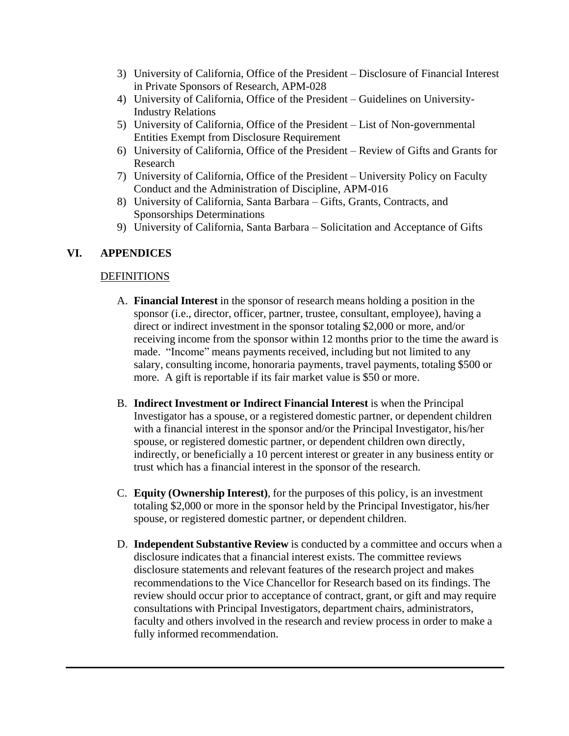- 3) University of California, Office of the President Disclosure of Financial Interest in Private Sponsors of Research, APM-028
- 4) University of California, Office of the President Guidelines on University-Industry Relations
- 5) University of California, Office of the President List of Non-governmental Entities Exempt from Disclosure Requirement
- 6) University of California, Office of the President Review of Gifts and Grants for Research
- 7) University of California, Office of the President University Policy on Faculty Conduct and the Administration of Discipline, APM-016
- 8) University of California, Santa Barbara Gifts, Grants, Contracts, and Sponsorships Determinations
- 9) University of California, Santa Barbara Solicitation and Acceptance of Gifts

### **VI. APPENDICES**

#### **DEFINITIONS**

- A. **Financial Interest** in the sponsor of research means holding a position in the sponsor (i.e., director, officer, partner, trustee, consultant, employee), having a direct or indirect investment in the sponsor totaling \$2,000 or more, and/or receiving income from the sponsor within 12 months prior to the time the award is made. "Income" means payments received, including but not limited to any salary, consulting income, honoraria payments, travel payments, totaling \$500 or more. A gift is reportable if its fair market value is \$50 or more.
- B. **Indirect Investment or Indirect Financial Interest** is when the Principal Investigator has a spouse, or a registered domestic partner, or dependent children with a financial interest in the sponsor and/or the Principal Investigator, his/her spouse, or registered domestic partner, or dependent children own directly, indirectly, or beneficially a 10 percent interest or greater in any business entity or trust which has a financial interest in the sponsor of the research.
- C. **Equity (Ownership Interest)**, for the purposes of this policy, is an investment totaling \$2,000 or more in the sponsor held by the Principal Investigator, his/her spouse, or registered domestic partner, or dependent children.
- D. **Independent Substantive Review** is conducted by a committee and occurs when a disclosure indicates that a financial interest exists. The committee reviews disclosure statements and relevant features of the research project and makes recommendations to the Vice Chancellor for Research based on its findings. The review should occur prior to acceptance of contract, grant, or gift and may require consultations with Principal Investigators, department chairs, administrators, faculty and others involved in the research and review process in order to make a fully informed recommendation.